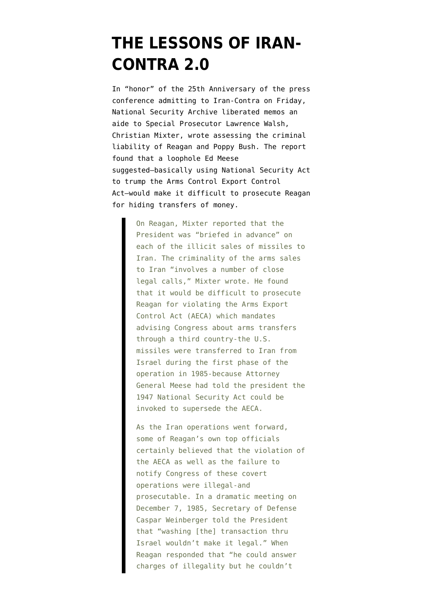## **[THE LESSONS OF IRAN-](https://www.emptywheel.net/2011/11/28/the-lessons-of-iran-contra-2-0/)[CONTRA 2.0](https://www.emptywheel.net/2011/11/28/the-lessons-of-iran-contra-2-0/)**

In "honor" of the 25th Anniversary of the press conference admitting to Iran-Contra on Friday, National Security Archive liberated memos an aide to Special Prosecutor Lawrence Walsh, Christian Mixter, wrote assessing the criminal liability of Reagan and Poppy Bush. The report [found](http://www.gwu.edu/~nsarchiv/NSAEBB/NSAEBB365/index.htm) that a loophole Ed Meese suggested–basically using National Security Act to trump the Arms Control Export Control Act–would make it difficult to prosecute Reagan for hiding transfers of money.

> On Reagan, Mixter reported that the President was "briefed in advance" on each of the illicit sales of missiles to Iran. The criminality of the arms sales to Iran "involves a number of close legal calls," Mixter wrote. He found that it would be difficult to prosecute Reagan for violating the Arms Export Control Act (AECA) which mandates advising Congress about arms transfers through a third country-the U.S. missiles were transferred to Iran from Israel during the first phase of the operation in 1985-because Attorney General Meese had told the president the 1947 National Security Act could be invoked to supersede the AECA.

> As the Iran operations went forward, some of Reagan's own top officials certainly believed that the violation of the AECA as well as the failure to notify Congress of these covert operations were illegal-and prosecutable. In a dramatic meeting on December 7, 1985, Secretary of Defense Caspar Weinberger told the President that "washing [the] transaction thru Israel wouldn't make it legal." When Reagan responded that "he could answer charges of illegality but he couldn't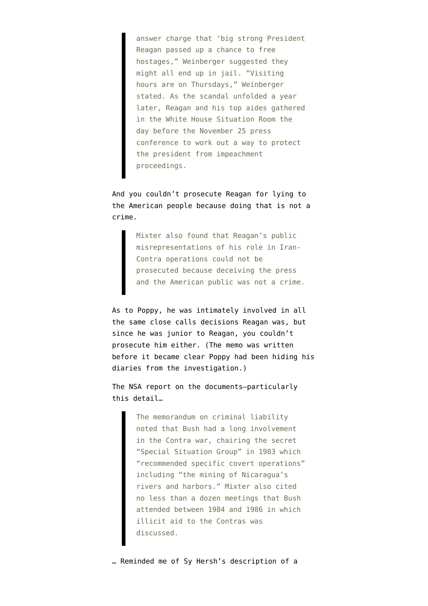answer charge that 'big strong President Reagan passed up a chance to free hostages," Weinberger suggested they might all end up in jail. "Visiting hours are on Thursdays," Weinberger stated. As the scandal unfolded a year later, Reagan and his top aides gathered in the White House Situation Room the day before the November 25 press conference to work out a way to protect the president from impeachment proceedings.

And you couldn't prosecute Reagan for lying to the American people because doing that is not a crime.

> Mixter also found that Reagan's public misrepresentations of his role in Iran-Contra operations could not be prosecuted because deceiving the press and the American public was not a crime.

As to Poppy, he was intimately involved in all the same close calls decisions Reagan was, but since he was junior to Reagan, you couldn't prosecute him either. (The memo was written before it became clear Poppy had been hiding his diaries from the investigation.)

The [NSA report](http://www.gwu.edu/~nsarchiv/NSAEBB/NSAEBB365/index.htm) on the documents–particularly this detail…

> The memorandum on criminal liability noted that Bush had a long involvement in the Contra war, chairing the secret "Special Situation Group" in 1983 which "recommended specific covert operations" including "the mining of Nicaragua's rivers and harbors." Mixter also cited no less than a dozen meetings that Bush attended between 1984 and 1986 in which illicit aid to the Contras was discussed.

… Reminded me of [Sy Hersh's description](http://www.emptywheel.net/2009/03/23/cheneys-assassination-squads-and-iran-contra-and-findings/) of a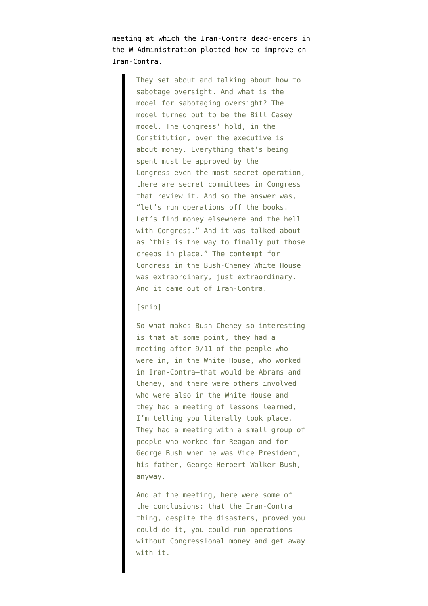meeting at which the Iran-Contra dead-enders in the W Administration plotted how to improve on Iran-Contra.

> They set about and talking about how to sabotage oversight. And what is the model for sabotaging oversight? The model turned out to be the Bill Casey model. The Congress' hold, in the Constitution, over the executive is about money. Everything that's being spent must be approved by the Congress–even the most secret operation, there are secret committees in Congress that review it. And so the answer was, "let's run operations off the books. Let's find money elsewhere and the hell with Congress." And it was talked about as "this is the way to finally put those creeps in place." The contempt for Congress in the Bush-Cheney White House was extraordinary, just extraordinary. And it came out of Iran-Contra.

## [snip]

So what makes Bush-Cheney so interesting is that at some point, they had a meeting after 9/11 of the people who were in, in the White House, who worked in Iran-Contra–that would be Abrams and Cheney, and there were others involved who were also in the White House and they had a meeting of lessons learned, I'm telling you literally took place. They had a meeting with a small group of people who worked for Reagan and for George Bush when he was Vice President, his father, George Herbert Walker Bush, anyway.

And at the meeting, here were some of the conclusions: that the Iran-Contra thing, despite the disasters, proved you could do it, you could run operations without Congressional money and get away with it.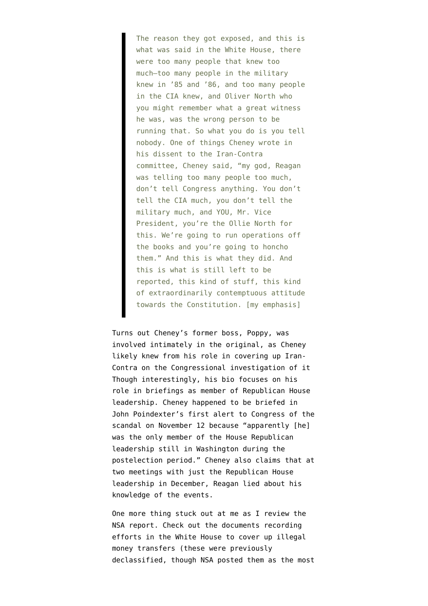The reason they got exposed, and this is what was said in the White House, there were too many people that knew too much–too many people in the military knew in '85 and '86, and too many people in the CIA knew, and Oliver North who you might remember what a great witness he was, was the wrong person to be running that. So what you do is you tell nobody. One of things Cheney wrote in his dissent to the Iran-Contra committee, Cheney said, "my god, Reagan was telling too many people too much, don't tell Congress anything. You don't tell the CIA much, you don't tell the military much, and YOU, Mr. Vice President, you're the Ollie North for this. We're going to run operations off the books and you're going to honcho them." And this is what they did. And this is what is still left to be reported, this kind of stuff, this kind of extraordinarily contemptuous attitude towards the Constitution. [my emphasis]

Turns out Cheney's former boss, Poppy, was involved intimately in the original, as Cheney likely knew from his role in covering up Iran-Contra on the Congressional investigation of it Though interestingly, his bio focuses on his role in briefings as member of Republican House leadership. Cheney happened to be briefed in John Poindexter's first alert to Congress of the scandal on November 12 because "apparently [he] was the only member of the House Republican leadership still in Washington during the postelection period." Cheney also claims that at two meetings with just the Republican House leadership in December, Reagan lied about his knowledge of the events.

One more thing stuck out at me as I review the NSA report. Check out the documents recording efforts in the White House to cover up illegal money transfers (these were previously declassified, though NSA posted them as the most